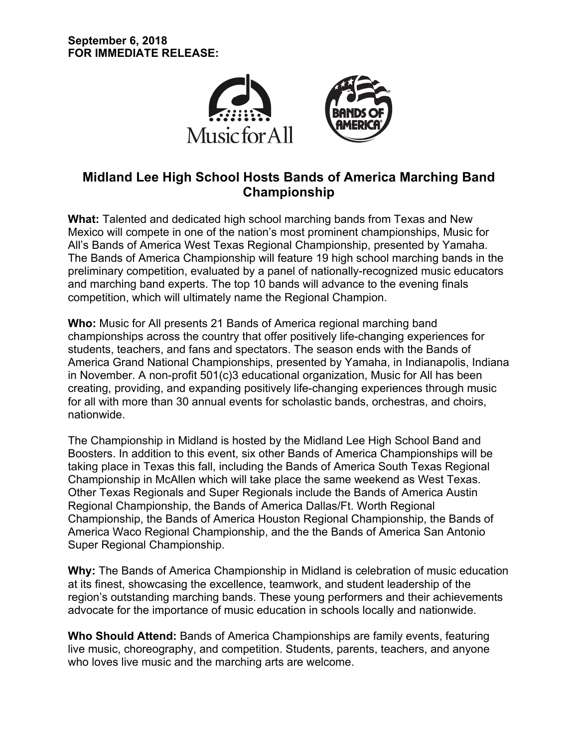

# **Midland Lee High School Hosts Bands of America Marching Band Championship**

**What:** Talented and dedicated high school marching bands from Texas and New Mexico will compete in one of the nation's most prominent championships, Music for All's Bands of America West Texas Regional Championship, presented by Yamaha. The Bands of America Championship will feature 19 high school marching bands in the preliminary competition, evaluated by a panel of nationally-recognized music educators and marching band experts. The top 10 bands will advance to the evening finals competition, which will ultimately name the Regional Champion.

**Who:** Music for All presents 21 Bands of America regional marching band championships across the country that offer positively life-changing experiences for students, teachers, and fans and spectators. The season ends with the Bands of America Grand National Championships, presented by Yamaha, in Indianapolis, Indiana in November. A non-profit 501(c)3 educational organization, Music for All has been creating, providing, and expanding positively life-changing experiences through music for all with more than 30 annual events for scholastic bands, orchestras, and choirs, nationwide.

The Championship in Midland is hosted by the Midland Lee High School Band and Boosters. In addition to this event, six other Bands of America Championships will be taking place in Texas this fall, including the Bands of America South Texas Regional Championship in McAllen which will take place the same weekend as West Texas. Other Texas Regionals and Super Regionals include the Bands of America Austin Regional Championship, the Bands of America Dallas/Ft. Worth Regional Championship, the Bands of America Houston Regional Championship, the Bands of America Waco Regional Championship, and the the Bands of America San Antonio Super Regional Championship.

**Why:** The Bands of America Championship in Midland is celebration of music education at its finest, showcasing the excellence, teamwork, and student leadership of the region's outstanding marching bands. These young performers and their achievements advocate for the importance of music education in schools locally and nationwide.

**Who Should Attend:** Bands of America Championships are family events, featuring live music, choreography, and competition. Students, parents, teachers, and anyone who loves live music and the marching arts are welcome.